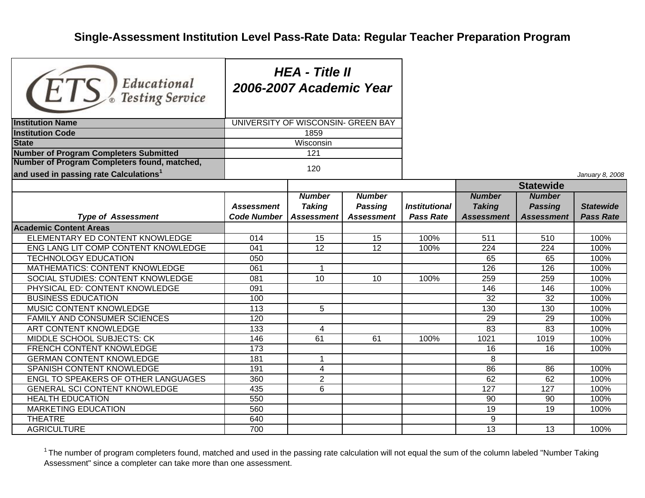## **Single-Assessment Institution Level Pass-Rate Data: Regular Teacher Preparation Program**

| Educational<br>$E \bigcup_{\mathscr{E}} E$ Testing Service                                         | <b>HEA - Title II</b><br>2006-2007 Academic Year |                                              |                                                      |                                   |                                                     |                                                      |                                      |  |
|----------------------------------------------------------------------------------------------------|--------------------------------------------------|----------------------------------------------|------------------------------------------------------|-----------------------------------|-----------------------------------------------------|------------------------------------------------------|--------------------------------------|--|
| <b>Institution Name</b>                                                                            | UNIVERSITY OF WISCONSIN- GREEN BAY               |                                              |                                                      |                                   |                                                     |                                                      |                                      |  |
| <b>Institution Code</b>                                                                            |                                                  | 1859                                         |                                                      |                                   |                                                     |                                                      |                                      |  |
| <b>State</b>                                                                                       |                                                  | Wisconsin                                    |                                                      |                                   |                                                     |                                                      |                                      |  |
| <b>Number of Program Completers Submitted</b>                                                      |                                                  | 121                                          |                                                      |                                   |                                                     |                                                      |                                      |  |
| Number of Program Completers found, matched,<br>and used in passing rate Calculations <sup>1</sup> |                                                  | 120                                          |                                                      |                                   |                                                     |                                                      |                                      |  |
|                                                                                                    |                                                  |                                              |                                                      |                                   |                                                     |                                                      | January 8, 2008                      |  |
|                                                                                                    |                                                  |                                              |                                                      |                                   | <b>Statewide</b>                                    |                                                      |                                      |  |
| <b>Type of Assessment</b>                                                                          | <b>Assessment</b><br><b>Code Number</b>          | <b>Number</b><br><b>Taking</b><br>Assessment | <b>Number</b><br><b>Passing</b><br><b>Assessment</b> | Institutional<br><b>Pass Rate</b> | <b>Number</b><br><b>Taking</b><br><b>Assessment</b> | <b>Number</b><br><b>Passing</b><br><b>Assessment</b> | <b>Statewide</b><br><b>Pass Rate</b> |  |
| <b>Academic Content Areas</b>                                                                      |                                                  |                                              |                                                      |                                   |                                                     |                                                      |                                      |  |
| ELEMENTARY ED CONTENT KNOWLEDGE                                                                    | 014                                              | 15                                           | 15                                                   | 100%                              | 511                                                 | 510                                                  | 100%                                 |  |
| ENG LANG LIT COMP CONTENT KNOWLEDGE                                                                | 041                                              | 12                                           | 12                                                   | 100%                              | 224                                                 | 224                                                  | 100%                                 |  |
| <b>TECHNOLOGY EDUCATION</b>                                                                        | $\overline{050}$                                 |                                              |                                                      |                                   | 65                                                  | 65                                                   | 100%                                 |  |
| MATHEMATICS: CONTENT KNOWLEDGE                                                                     | 061                                              | $\mathbf{1}$                                 |                                                      |                                   | 126                                                 | 126                                                  | 100%                                 |  |
| SOCIAL STUDIES: CONTENT KNOWLEDGE                                                                  | 081                                              | 10                                           | 10                                                   | 100%                              | 259                                                 | 259                                                  | 100%                                 |  |
| PHYSICAL ED: CONTENT KNOWLEDGE                                                                     | 091                                              |                                              |                                                      |                                   | 146                                                 | 146                                                  | 100%                                 |  |
| <b>BUSINESS EDUCATION</b>                                                                          | 100                                              |                                              |                                                      |                                   | 32                                                  | 32                                                   | 100%                                 |  |
| MUSIC CONTENT KNOWLEDGE                                                                            | 113                                              | 5                                            |                                                      |                                   | 130                                                 | 130                                                  | 100%                                 |  |
| FAMILY AND CONSUMER SCIENCES                                                                       | 120                                              |                                              |                                                      |                                   | 29                                                  | 29                                                   | 100%                                 |  |
| ART CONTENT KNOWLEDGE                                                                              | 133                                              | 4                                            |                                                      |                                   | 83                                                  | 83                                                   | 100%                                 |  |
| MIDDLE SCHOOL SUBJECTS: CK                                                                         | 146                                              | 61                                           | 61                                                   | 100%                              | 1021                                                | 1019                                                 | 100%                                 |  |
| FRENCH CONTENT KNOWLEDGE                                                                           | 173                                              |                                              |                                                      |                                   | 16                                                  | 16                                                   | 100%                                 |  |
| <b>GERMAN CONTENT KNOWLEDGE</b>                                                                    | 181                                              | $\mathbf{1}$                                 |                                                      |                                   | 8                                                   |                                                      |                                      |  |
| SPANISH CONTENT KNOWLEDGE                                                                          | 191                                              | 4                                            |                                                      |                                   | 86                                                  | 86                                                   | 100%                                 |  |
| ENGL TO SPEAKERS OF OTHER LANGUAGES                                                                | 360                                              | $\overline{2}$                               |                                                      |                                   | 62                                                  | 62                                                   | 100%                                 |  |
| <b>GENERAL SCI CONTENT KNOWLEDGE</b>                                                               | 435                                              | 6                                            |                                                      |                                   | 127                                                 | 127                                                  | 100%                                 |  |
| <b>HEALTH EDUCATION</b>                                                                            | 550                                              |                                              |                                                      |                                   | 90                                                  | 90                                                   | 100%                                 |  |
| <b>MARKETING EDUCATION</b>                                                                         | 560                                              |                                              |                                                      |                                   | 19                                                  | 19                                                   | 100%                                 |  |
| <b>THEATRE</b>                                                                                     | 640                                              |                                              |                                                      |                                   | 9                                                   |                                                      |                                      |  |
| <b>AGRICULTURE</b>                                                                                 | 700                                              |                                              |                                                      |                                   | $\overline{13}$                                     | 13                                                   | 100%                                 |  |

 $1$  The number of program completers found, matched and used in the passing rate calculation will not equal the sum of the column labeled "Number Taking Assessment" since a completer can take more than one assessment.